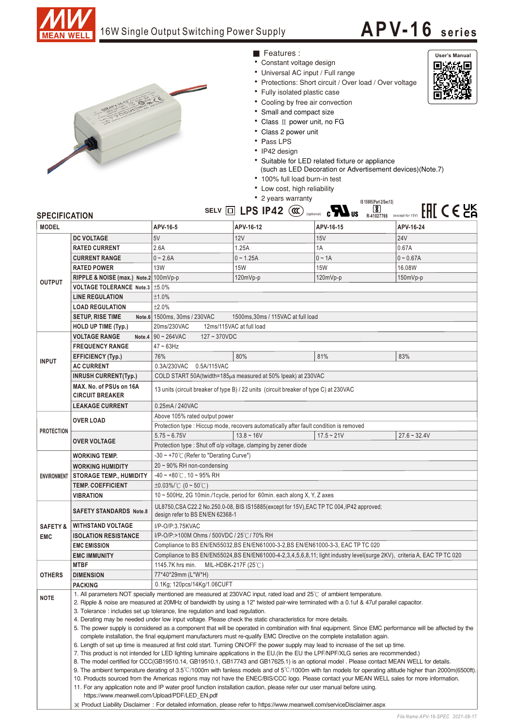

## 16W Single Output Switching Power Supply

## **APV-16 <sup>s</sup> <sup>e</sup> ri es**



- Constant voltage design ■ Features :
- Universal AC input / Full range
- Protections: Short circuit / Over load / Over voltage
- Fully isolated plastic case
- Cooling by free air convection
- Small and compact size
- Class II power unit, no FG
- Class 2 power unit
- Pass LPS
- IP42 design
- Suitable for LED related fixture or appliance
	- (such as LED Decoration or Advertisement devices) (Note.7)



**User's Manual**回避敌回

|                                   |                                                   |                                                                                                                                          |              | • 100% full load burn-in test                                   |                                                                              |  |
|-----------------------------------|---------------------------------------------------|------------------------------------------------------------------------------------------------------------------------------------------|--------------|-----------------------------------------------------------------|------------------------------------------------------------------------------|--|
|                                   |                                                   | • Low cost, high reliability<br>• 2 years warranty                                                                                       |              |                                                                 |                                                                              |  |
|                                   |                                                   |                                                                                                                                          |              |                                                                 | IS 15885(Part 2/Sec13)                                                       |  |
| <b>SPECIFICATION</b>              |                                                   |                                                                                                                                          |              | SELV $\Box$ LPS IP42 $\left(\alpha\right)$ (optional) $\Box$ US | $FIII \subset E2K$<br>$\overline{\textbf{8}}$<br>R-41027766 (except for 15V) |  |
| <b>MODEL</b>                      |                                                   | APV-16-5                                                                                                                                 | APV-16-12    | APV-16-15                                                       | APV-16-24                                                                    |  |
| <b>OUTPUT</b>                     | <b>DC VOLTAGE</b>                                 | 5V                                                                                                                                       | <b>12V</b>   | 15V                                                             | <b>24V</b>                                                                   |  |
|                                   | <b>RATED CURRENT</b>                              | 2.6A                                                                                                                                     | 1.25A        | 1A                                                              | 0.67A                                                                        |  |
|                                   | <b>CURRENT RANGE</b>                              | $0 - 2.6A$                                                                                                                               | $0 - 1.25A$  | $0 - 1A$                                                        | $0 - 0.67A$                                                                  |  |
|                                   | <b>RATED POWER</b>                                | <b>13W</b>                                                                                                                               | <b>15W</b>   | 15W                                                             | 16.08W                                                                       |  |
|                                   | RIPPLE & NOISE (max.) Note.2 100mVp-p             |                                                                                                                                          | 120mVp-p     | 120mVp-p                                                        | $150mVp-p$                                                                   |  |
|                                   | VOLTAGE TOLERANCE Note.3   ±5.0%                  |                                                                                                                                          |              |                                                                 |                                                                              |  |
|                                   | <b>LINE REGULATION</b>                            | ±1.0%                                                                                                                                    |              |                                                                 |                                                                              |  |
|                                   | <b>LOAD REGULATION</b>                            | ±2.0%                                                                                                                                    |              |                                                                 |                                                                              |  |
|                                   | <b>SETUP, RISE TIME</b>                           | Note.6 1500ms, 30ms / 230VAC<br>1500ms, 30ms / 115VAC at full load                                                                       |              |                                                                 |                                                                              |  |
|                                   | <b>HOLD UP TIME (Typ.)</b>                        | 20ms/230VAC<br>12ms/115VAC at full load                                                                                                  |              |                                                                 |                                                                              |  |
| <b>INPUT</b>                      | <b>VOLTAGE RANGE</b><br>Note.4                    | $90 - 264$ VAC<br>$127 - 370VDC$                                                                                                         |              |                                                                 |                                                                              |  |
|                                   | <b>FREQUENCY RANGE</b>                            | $47 \sim 63$ Hz                                                                                                                          |              |                                                                 |                                                                              |  |
|                                   | <b>EFFICIENCY (Typ.)</b>                          | 76%                                                                                                                                      | 80%          | 81%                                                             | 83%                                                                          |  |
|                                   | <b>AC CURRENT</b>                                 | 0.3A/230VAC 0.5A/115VAC                                                                                                                  |              |                                                                 |                                                                              |  |
|                                   | <b>INRUSH CURRENT(Typ.)</b>                       | COLD START 50A(twidth=185µs measured at 50% Ipeak) at 230VAC                                                                             |              |                                                                 |                                                                              |  |
|                                   | MAX. No. of PSUs on 16A<br><b>CIRCUIT BREAKER</b> | 13 units (circuit breaker of type B) / 22 units (circuit breaker of type C) at 230VAC                                                    |              |                                                                 |                                                                              |  |
|                                   | <b>LEAKAGE CURRENT</b>                            | 0.25mA / 240VAC                                                                                                                          |              |                                                                 |                                                                              |  |
| <b>PROTECTION</b>                 | <b>OVER LOAD</b>                                  | Above 105% rated output power                                                                                                            |              |                                                                 |                                                                              |  |
|                                   |                                                   | Protection type : Hiccup mode, recovers automatically after fault condition is removed                                                   |              |                                                                 |                                                                              |  |
|                                   | <b>OVER VOLTAGE</b>                               | $5.75 - 6.75V$                                                                                                                           | $13.8 - 16V$ | $17.5 - 21V$                                                    | $27.6 - 32.4V$                                                               |  |
|                                   |                                                   | Protection type : Shut off o/p voltage, clamping by zener diode                                                                          |              |                                                                 |                                                                              |  |
| <b>ENVIRONMENT</b>                | <b>WORKING TEMP.</b>                              | -30 ~ +70℃ (Refer to "Derating Curve")                                                                                                   |              |                                                                 |                                                                              |  |
|                                   | <b>WORKING HUMIDITY</b>                           | $20 \sim 90\%$ RH non-condensing                                                                                                         |              |                                                                 |                                                                              |  |
|                                   | <b>STORAGE TEMP., HUMIDITY</b>                    | $-40 \sim +80^{\circ}$ C, 10 ~ 95% RH                                                                                                    |              |                                                                 |                                                                              |  |
|                                   | <b>TEMP. COEFFICIENT</b>                          | $\pm 0.03\%$ (0 ~ 50°C)                                                                                                                  |              |                                                                 |                                                                              |  |
|                                   | <b>VIBRATION</b>                                  | 10 $\sim$ 500Hz, 2G 10min./1 cycle, period for 60min. each along X, Y, Z axes                                                            |              |                                                                 |                                                                              |  |
| <b>SAFETY &amp;</b><br><b>EMC</b> | <b>SAFETY STANDARDS Note.8</b>                    | UL8750, CSA C22.2 No.250.0-08, BIS IS15885(except for 15V), EAC TP TC 004, IP42 approved;<br>design refer to BS EN/EN 62368-1            |              |                                                                 |                                                                              |  |
|                                   | <b>WITHSTAND VOLTAGE</b>                          | I/P-O/P:3.75KVAC                                                                                                                         |              |                                                                 |                                                                              |  |
|                                   | <b>ISOLATION RESISTANCE</b>                       | I/P-O/P:>100M Ohms / 500VDC / 25℃/ 70% RH                                                                                                |              |                                                                 |                                                                              |  |
|                                   | <b>EMC EMISSION</b>                               | Compliance to BS EN/EN55032, BS EN/EN61000-3-2, BS EN/EN61000-3-3, EAC TP TC 020                                                         |              |                                                                 |                                                                              |  |
|                                   | <b>EMC IMMUNITY</b>                               | Compliance to BS EN/EN55024, BS EN/EN61000-4-2,3,4,5,6,8,11; light industry level(surge 2KV), criteria A, EAC TP TC 020                  |              |                                                                 |                                                                              |  |
| <b>OTHERS</b>                     | <b>MTBF</b>                                       | 1145.7K hrs min.<br>MIL-HDBK-217F (25℃)                                                                                                  |              |                                                                 |                                                                              |  |
|                                   | <b>DIMENSION</b>                                  | 77*40*29mm (L*W*H)                                                                                                                       |              |                                                                 |                                                                              |  |
|                                   | <b>PACKING</b>                                    | 0.1Kg; 120pcs/14Kg/1.06CUFT                                                                                                              |              |                                                                 |                                                                              |  |
| <b>NOTE</b>                       |                                                   | 1. All parameters NOT specially mentioned are measured at 230VAC input, rated load and 25°C of ambient temperature.                      |              |                                                                 |                                                                              |  |
|                                   |                                                   | 2. Ripple & noise are measured at 20MHz of bandwidth by using a 12" twisted pair-wire terminated with a 0.1uf & 47uf parallel capacitor. |              |                                                                 |                                                                              |  |
|                                   |                                                   | 3. Tolerance: includes set up tolerance, line regulation and load regulation.                                                            |              |                                                                 |                                                                              |  |

4. Derating may be needed under low input voltage. Please check the static characteristics for more details.

5. The power supply is considered as a component that will be operated in combination with final equipment. Since EMC performance will be affected by the complete installation, the final equipment manufacturers must re-qualify EMC Directive on the complete installation again.

6. Length of set up time is measured at first cold start. Turning ON/OFF the power supply may lead to increase of the set up time.

7. This product is not intended for LED lighting luminaire applications in the EU.(In the EU the LPF/NPF/XLG series are recommended.)

8. The model certified for CCC(GB19510.14, GB19510.1, GB17743 and GB17625.1) is an optional model . Please contact MEAN WELL for details.

9. The ambient temperature derating of 3.5°C/1000m with fanless models and of 5°C/1000m with fan models for operating altitude higher than 2000m(6500ft).

10. Products sourced from the Americas regions may not have the ENEC/BIS/CCC logo. Please contact your MEAN WELL sales for more information. 11. For any application note and IP water proof function installation caution, please refer our user manual before using.

https://www.meanwell.com/Upload/PDF/LED EN.pdf

※ Product Liability Disclaimer:For detailed information, please refer to https://www.meanwell.com/serviceDisclaimer.aspx